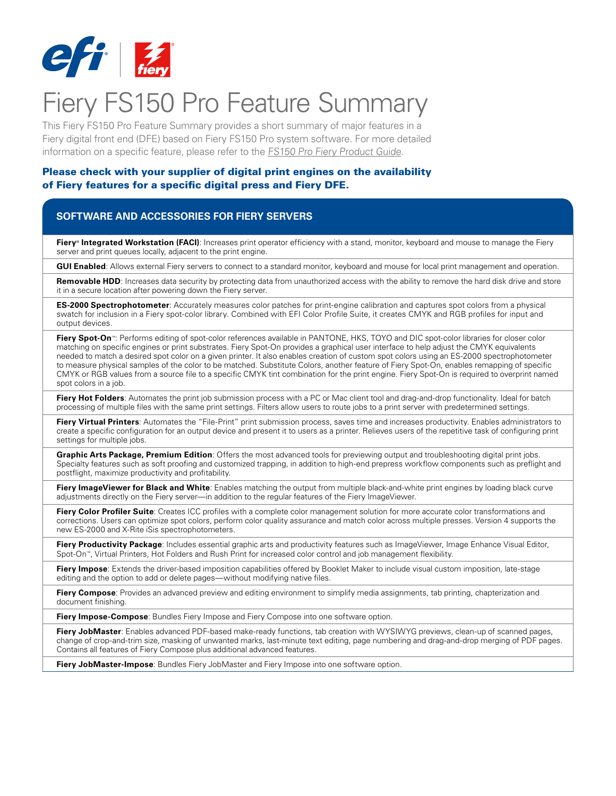

# Fiery FS150 Pro Feature Summary

This Fiery FS150 Pro Feature Summary provides a short summary of major features in a Fiery digital front end (DFE) based on Fiery FS150 Pro system software. For more detailed information on a specific feature, please refer to the [FS150 Pro Fiery Product Guide](http://w3.efi.com/~/media/Files/EFI/Fiery/Fiery%20Digital%20Print%20Servers/Fiery_FS150_Pro_Product_Guide_LTR_US.pdf).

#### Please check with your supplier of digital print engines on the availability of Fiery features for a specific digital press and Fiery DFE.

#### **SOFTWARE AND ACCESSORIES FOR FIERY SERVERS**

**Fiery<sup>®</sup>** Integrated Workstation (FACI): Increases print operator efficiency with a stand, monitor, keyboard and mouse to manage the Fiery server and print queues locally, adjacent to the print engine.

**GUI Enabled**: Allows external Fiery servers to connect to a standard monitor, keyboard and mouse for local print management and operation.

Removable HDD: Increases data security by protecting data from unauthorized access with the ability to remove the hard disk drive and store it in a secure location after powering down the Fiery server.

**ES-2000 Spectrophotometer**: Accurately measures color patches for print-engine calibration and captures spot colors from a physical swatch for inclusion in a Fiery spot-color library. Combined with EFI Color Profile Suite, it creates CMYK and RGB profiles for input and output devices.

**Fiery Spot-On**™: Performs editing of spot-color references available in PANTONE, HKS, TOYO and DIC spot-color libraries for closer color matching on specific engines or print substrates. Fiery Spot-On provides a graphical user interface to help adjust the CMYK equivalents needed to match a desired spot color on a given printer. It also enables creation of custom spot colors using an ES-2000 spectrophotometer to measure physical samples of the color to be matched. Substitute Colors, another feature of Fiery Spot-On, enables remapping of specific CMYK or RGB values from a source file to a specific CMYK tint combination for the print engine. Fiery Spot-On is required to overprint named spot colors in a job.

**Fiery Hot Folders**: Automates the print job submission process with a PC or Mac client tool and drag-and-drop functionality. Ideal for batch processing of multiple files with the same print settings. Filters allow users to route jobs to a print server with predetermined settings.

**Fiery Virtual Printers**: Automates the "File-Print" print submission process, saves time and increases productivity. Enables administrators to create a specific configuration for an output device and present it to users as a printer. Relieves users of the repetitive task of configuring print settings for multiple jobs.

**Graphic Arts Package, Premium Edition**: Offers the most advanced tools for previewing output and troubleshooting digital print jobs. Specialty features such as soft proofing and customized trapping, in addition to high-end prepress workflow components such as preflight and postflight, maximize productivity and profitability.

**Fiery ImageViewer for Black and White**: Enables matching the output from multiple black-and-white print engines by loading black curve adjustments directly on the Fiery server—in addition to the regular features of the Fiery ImageViewer.

Fiery Color Profiler Suite: Creates ICC profiles with a complete color management solution for more accurate color transformations and corrections. Users can optimize spot colors, perform color quality assurance and match color across multiple presses. Version 4 supports the new ES-2000 and X-Rite iSis spectrophotometers.

Fiery Productivity Package: Includes essential graphic arts and productivity features such as ImageViewer, Image Enhance Visual Editor, Spot-On™, Virtual Printers, Hot Folders and Rush Print for increased color control and job management flexibility.

**Fiery Impose**: Extends the driver-based imposition capabilities offered by Booklet Maker to include visual custom imposition, late-stage editing and the option to add or delete pages—without modifying native files.

**Fiery Compose**: Provides an advanced preview and editing environment to simplify media assignments, tab printing, chapterization and document finishing.

**Fiery Impose-Compose**: Bundles Fiery Impose and Fiery Compose into one software option.

**Fiery JobMaster**: Enables advanced PDF-based make-ready functions, tab creation with WYSIWYG previews, clean-up of scanned pages, change of crop-and-trim size, masking of unwanted marks, last-minute text editing, page numbering and drag-and-drop merging of PDF pages. Contains all features of Fiery Compose plus additional advanced features.

**Fiery JobMaster-Impose**: Bundles Fiery JobMaster and Fiery Impose into one software option.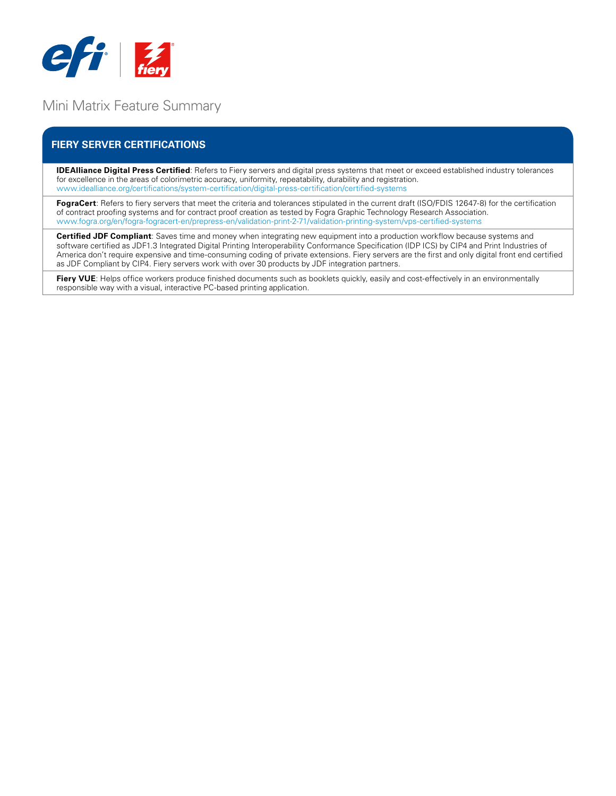

## Mini Matrix Feature Summary

## **FIERY SERVER CERTIFICATIONS**

**IDEAlliance Digital Press Certified**: Refers to Fiery servers and digital press systems that meet or exceed established industry tolerances for excellence in the areas of colorimetric accuracy, uniformity, repeatability, durability and registration. www.idealliance.org/certifications/system-certification/digital-press-certification/certified-systems

**FograCert**: Refers to fiery servers that meet the criteria and tolerances stipulated in the current draft (ISO/FDIS 12647-8) for the certification of contract proofing systems and for contract proof creation as tested by Fogra Graphic Technology Research Association. www.fogra.org/en/fogra-fogracert-en/prepress-en/validation-print-2-71/validation-printing-system/vps-certified-systems

**Certified JDF Compliant**: Saves time and money when integrating new equipment into a production workflow because systems and software certified as JDF1.3 Integrated Digital Printing Interoperability Conformance Specification (IDP ICS) by CIP4 and Print Industries of America don't require expensive and time-consuming coding of private extensions. Fiery servers are the first and only digital front end certified as JDF Compliant by CIP4. Fiery servers work with over 30 products by JDF integration partners.

Fiery VUE: Helps office workers produce finished documents such as booklets quickly, easily and cost-effectively in an environmentally responsible way with a visual, interactive PC-based printing application.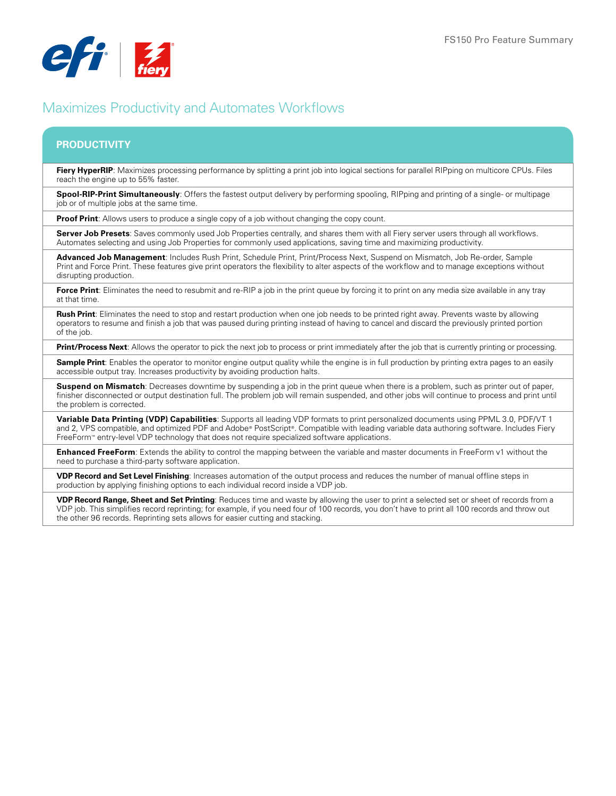

## Maximizes Productivity and Automates Workflows

## **PRODUCTIVITY**

**Fiery HyperRIP**: Maximizes processing performance by splitting a print job into logical sections for parallel RIPping on multicore CPUs. Files reach the engine up to 55% faster.

**Spool-RIP-Print Simultaneously**: Offers the fastest output delivery by performing spooling, RIPping and printing of a single- or multipage job or of multiple jobs at the same time.

**Proof Print:** Allows users to produce a single copy of a job without changing the copy count.

**Server Job Presets**: Saves commonly used Job Properties centrally, and shares them with all Fiery server users through all workflows. Automates selecting and using Job Properties for commonly used applications, saving time and maximizing productivity.

**Advanced Job Management**: Includes Rush Print, Schedule Print, Print/Process Next, Suspend on Mismatch, Job Re-order, Sample Print and Force Print. These features give print operators the flexibility to alter aspects of the workflow and to manage exceptions without disrupting production.

**Force Print**: Eliminates the need to resubmit and re-RIP a job in the print queue by forcing it to print on any media size available in any tray at that time.

**Rush Print**: Eliminates the need to stop and restart production when one job needs to be printed right away. Prevents waste by allowing operators to resume and finish a job that was paused during printing instead of having to cancel and discard the previously printed portion of the job.

**Print/Process Next**: Allows the operator to pick the next job to process or print immediately after the job that is currently printing or processing.

**Sample Print:** Enables the operator to monitor engine output quality while the engine is in full production by printing extra pages to an easily accessible output tray. Increases productivity by avoiding production halts.

**Suspend on Mismatch**: Decreases downtime by suspending a job in the print queue when there is a problem, such as printer out of paper, finisher disconnected or output destination full. The problem job will remain suspended, and other jobs will continue to process and print until the problem is corrected.

**Variable Data Printing (VDP) Capabilities**: Supports all leading VDP formats to print personalized documents using PPML 3.0, PDF/VT 1 and 2, VPS compatible, and optimized PDF and Adobe® PostScript®. Compatible with leading variable data authoring software. Includes Fiery FreeForm™ entry-level VDP technology that does not require specialized software applications.

**Enhanced FreeForm**: Extends the ability to control the mapping between the variable and master documents in FreeForm v1 without the need to purchase a third-party software application.

**VDP Record and Set Level Finishing**: Increases automation of the output process and reduces the number of manual offline steps in production by applying finishing options to each individual record inside a VDP job.

**VDP Record Range, Sheet and Set Printing**: Reduces time and waste by allowing the user to print a selected set or sheet of records from a VDP job. This simplifies record reprinting; for example, if you need four of 100 records, you don't have to print all 100 records and throw out the other 96 records. Reprinting sets allows for easier cutting and stacking.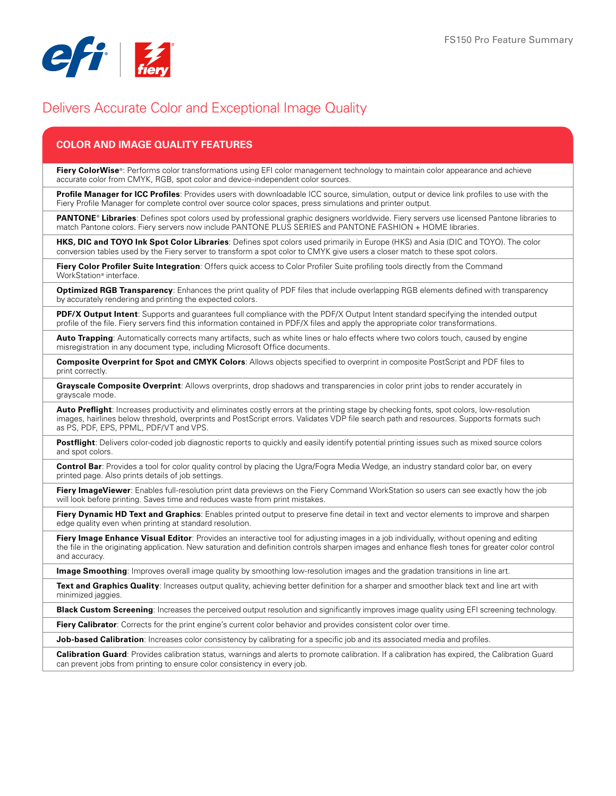

## Delivers Accurate Color and Exceptional Image Quality

## **COLOR and IMAGE QUALITY FEATURES**

**Fiery ColorWise**<sup>®</sup>: Performs color transformations using EFI color management technology to maintain color appearance and achieve accurate color from CMYK, RGB, spot color and device-independent color sources.

**Profile Manager for ICC Profiles**: Provides users with downloadable ICC source, simulation, output or device link profiles to use with the Fiery Profile Manager for complete control over source color spaces, press simulations and printer output.

**PANTONE**®  **Libraries**: Defines spot colors used by professional graphic designers worldwide. Fiery servers use licensed Pantone libraries to match Pantone colors. Fiery servers now include PANTONE PLUS SERIES and PANTONE FASHION + HOME libraries.

**HKS, DIC and TOYO Ink Spot Color Libraries**: Defines spot colors used primarily in Europe (HKS) and Asia (DIC and TOYO). The color conversion tables used by the Fiery server to transform a spot color to CMYK give users a closer match to these spot colors.

**Fiery Color Profiler Suite Integration**: Offers quick access to Color Profiler Suite profiling tools directly from the Command WorkStation® interface.

**Optimized RGB Transparency**: Enhances the print quality of PDF files that include overlapping RGB elements defined with transparency by accurately rendering and printing the expected colors.

**PDF/X Output Intent**: Supports and guarantees full compliance with the PDF/X Output Intent standard specifying the intended output profile of the file. Fiery servers find this information contained in PDF/X files and apply the appropriate color transformations.

**Auto Trapping**: Automatically corrects many artifacts, such as white lines or halo effects where two colors touch, caused by engine misregistration in any document type, including Microsoft Office documents.

**Composite Overprint for Spot and CMYK Colors**: Allows objects specified to overprint in composite PostScript and PDF files to print correctly.

**Grayscale Composite Overprint**: Allows overprints, drop shadows and transparencies in color print jobs to render accurately in grayscale mode.

Auto Preflight: Increases productivity and eliminates costly errors at the printing stage by checking fonts, spot colors, low-resolution images, hairlines below threshold, overprints and PostScript errors. Validates VDP file search path and resources. Supports formats such as PS, PDF, EPS, PPML, PDF/VT and VPS.

**Postflight**: Delivers color-coded job diagnostic reports to quickly and easily identify potential printing issues such as mixed source colors and spot colors.

**Control Bar**: Provides a tool for color quality control by placing the Ugra/Fogra Media Wedge, an industry standard color bar, on every printed page. Also prints details of job settings.

**Fiery ImageViewer**: Enables full-resolution print data previews on the Fiery Command WorkStation so users can see exactly how the job will look before printing. Saves time and reduces waste from print mistakes.

Fiery Dynamic HD Text and Graphics: Enables printed output to preserve fine detail in text and vector elements to improve and sharpen edge quality even when printing at standard resolution.

**Fiery Image Enhance Visual Editor**: Provides an interactive tool for adjusting images in a job individually, without opening and editing the file in the originating application. New saturation and definition controls sharpen images and enhance flesh tones for greater color control and accuracy.

**Image Smoothing**: Improves overall image quality by smoothing low-resolution images and the gradation transitions in line art.

Text and Graphics Quality: Increases output quality, achieving better definition for a sharper and smoother black text and line art with minimized jaggies.

**Black Custom Screening**: Increases the perceived output resolution and significantly improves image quality using EFI screening technology.

**Fiery Calibrator**: Corrects for the print engine's current color behavior and provides consistent color over time.

**Job-based Calibration**: Increases color consistency by calibrating for a specific job and its associated media and profiles.

**Calibration Guard**: Provides calibration status, warnings and alerts to promote calibration. If a calibration has expired, the Calibration Guard can prevent jobs from printing to ensure color consistency in every job.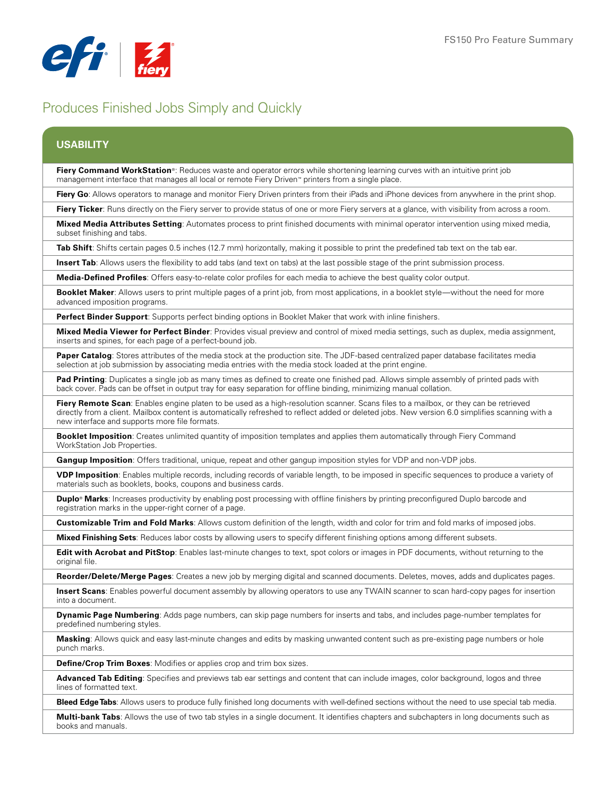

# Produces Finished Jobs Simply and Quickly

#### **USABILITY**

**Fiery Command WorkStation**®: Reduces waste and operator errors while shortening learning curves with an intuitive print job management interface that manages all local or remote Fiery Driven™ printers from a single place.

**Fiery Go**: Allows operators to manage and monitor Fiery Driven printers from their iPads and iPhone devices from anywhere in the print shop.

Fiery Ticker: Runs directly on the Fiery server to provide status of one or more Fiery servers at a glance, with visibility from across a room.

**Mixed Media Attributes Setting**: Automates process to print finished documents with minimal operator intervention using mixed media, subset finishing and tabs.

**Tab Shift**: Shifts certain pages 0.5 inches (12.7 mm) horizontally, making it possible to print the predefined tab text on the tab ear.

**Insert Tab**: Allows users the flexibility to add tabs (and text on tabs) at the last possible stage of the print submission process.

**Media-Defined Profiles**: Offers easy-to-relate color profiles for each media to achieve the best quality color output.

**Booklet Maker**: Allows users to print multiple pages of a print job, from most applications, in a booklet style—without the need for more advanced imposition programs.

**Perfect Binder Support**: Supports perfect binding options in Booklet Maker that work with inline finishers.

**Mixed Media Viewer for Perfect Binder**: Provides visual preview and control of mixed media settings, such as duplex, media assignment, inserts and spines, for each page of a perfect-bound job.

**Paper Catalog**: Stores attributes of the media stock at the production site. The JDF-based centralized paper database facilitates media selection at job submission by associating media entries with the media stock loaded at the print engine.

**Pad Printing**: Duplicates a single job as many times as defined to create one finished pad. Allows simple assembly of printed pads with back cover. Pads can be offset in output tray for easy separation for offline binding, minimizing manual collation.

Fiery Remote Scan: Enables engine platen to be used as a high-resolution scanner. Scans files to a mailbox, or they can be retrieved directly from a client. Mailbox content is automatically refreshed to reflect added or deleted jobs. New version 6.0 simplifies scanning with a new interface and supports more file formats.

**Booklet Imposition**: Creates unlimited quantity of imposition templates and applies them automatically through Fiery Command WorkStation Job Properties.

**Gangup Imposition**: Offers traditional, unique, repeat and other gangup imposition styles for VDP and non-VDP jobs.

**VDP Imposition**: Enables multiple records, including records of variable length, to be imposed in specific sequences to produce a variety of materials such as booklets, books, coupons and business cards.

**Duplo**® **Marks**: Increases productivity by enabling post processing with offline finishers by printing preconfigured Duplo barcode and registration marks in the upper-right corner of a page.

**Customizable Trim and Fold Marks**: Allows custom definition of the length, width and color for trim and fold marks of imposed jobs.

**Mixed Finishing Sets**: Reduces labor costs by allowing users to specify different finishing options among different subsets.

**Edit with Acrobat and PitStop**: Enables last-minute changes to text, spot colors or images in PDF documents, without returning to the original file.

**Reorder/Delete/Merge Pages**: Creates a new job by merging digital and scanned documents. Deletes, moves, adds and duplicates pages.

**Insert Scans**: Enables powerful document assembly by allowing operators to use any TWAIN scanner to scan hard-copy pages for insertion into a document.

**Dynamic Page Numbering**: Adds page numbers, can skip page numbers for inserts and tabs, and includes page-number templates for predefined numbering styles.

**Masking**: Allows quick and easy last-minute changes and edits by masking unwanted content such as pre-existing page numbers or hole punch marks.

**Define/Crop Trim Boxes**: Modifies or applies crop and trim box sizes.

**Advanced Tab Editing**: Specifies and previews tab ear settings and content that can include images, color background, logos and three lines of formatted text.

**Bleed Edge Tabs**: Allows users to produce fully finished long documents with well-defined sections without the need to use special tab media.

**Multi-bank Tabs**: Allows the use of two tab styles in a single document. It identifies chapters and subchapters in long documents such as books and manuals.